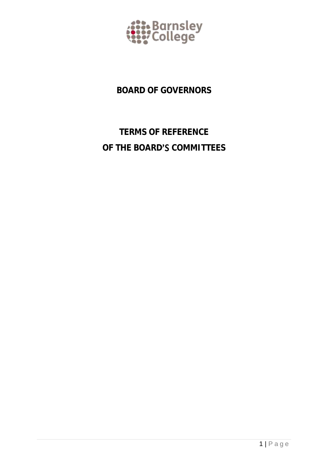

## **BOARD OF GOVERNORS**

# **TERMS OF REFERENCE** OF THE BOARD'S COMMITTEES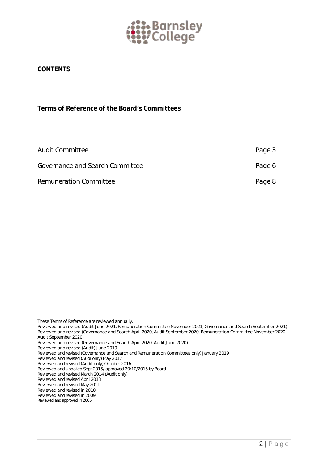

### **CONTENTS**

**Terms of Reference of the Board Committees**

| Audit Committee                 | Page 3 |
|---------------------------------|--------|
| Governance and Search Committee | Page 6 |
| Remuneration Committee          | Page 8 |

*These Terms of Reference are reviewed annually.* 

Reviewed and revised (Audit June 2021, Remuneration Committee November 2021, Governance and Search September 2021) Reviewed and revised (Governance and Search April 2020, Audit September 2020, Remuneration Committee November 2020, Audit September 2020)

Reviewed and revised (Governance and Search April 2020, Audit June 2020)

Reviewed and revised (Audit) June 2019

*Reviewed and revised (Governance and Search and Remuneration Committees only) January 2019*

*Reviewed and revised (Audi only) May 2017*

*Reviewed and revised (Audit only) October 2016* 

*Reviewed and updated Sept 2015/ approved 20/10/2015 by Board*

*Reviewed and revised March 2014 (Audit only)*

*Reviewed and revised April 2013 Reviewed and revised May 2011*

*Reviewed and revised in 2010*

*Reviewed and revised in 2009*

*Reviewed and approved in 2005.*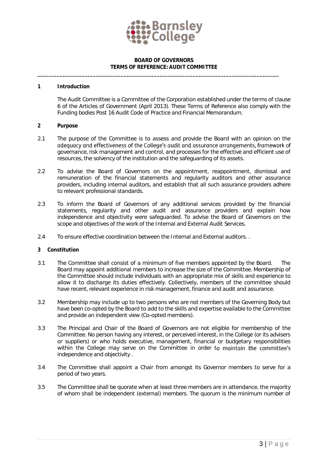

#### **BOARD OF GOVERNORS TERMS OF REFERENCE: AUDIT COMMITTEE**

**\_\_\_\_\_\_\_\_\_\_\_\_\_\_\_\_\_\_\_\_\_\_\_\_\_\_\_\_\_\_\_\_\_\_\_\_\_\_\_\_\_\_\_\_\_\_\_\_\_\_\_\_\_\_\_\_\_\_\_\_\_\_\_\_\_\_\_\_\_\_\_\_\_\_\_\_\_\_\_\_\_\_\_\_\_\_\_**

#### **1 Introduction**

The Audit Committee is a Committee of the Corporation established under the terms of clause 6 of the Articles of Government (April 2013). These Terms of Reference also comply with the Funding bodies Post 16 Audit Code of Practice and Financial Memorandum.

- **2 Purpose**
- 2.1 The purpose of the Committee is to assess and provide the Board with an opinion on the adequacy and effectiveness of the College's qualit and assurance arrangements, framework of governance, risk management and control, and processes for the effective and efficient use of resources, the solvency of the institution and the safeguarding of its assets.
- 2.2 To advise the Board of Governors on the appointment, reappointment, dismissal and remuneration of the financial statements and regularity auditors and other assurance providers, including internal auditors, and establish that all such assurance providers adhere to relevant professional standards.
- 2.3 To inform the Board of Governors of any additional services provided by the financial statements, regularity and other audit and assurance providers and explain how independence and objectivity were safeguarded. To advise the Board of Governors on the scope and objectives of the work of the Internal and External Audit Services.
- 2.4 To ensure effective coordination between the Internal and External auditors. .

#### **3 Constitution**

- 3.1 The Committee shall consist of a minimum of five members appointed by the Board. The Board may appoint additional members to increase the size of the Committee. Membership of the Committee should include individuals with an appropriate mix of skills and experience to allow it to discharge its duties effectively. Collectively, members of the committee should have recent, relevant experience in risk management, finance and audit and assurance.
- 3.2 Membership may include up to two persons who are not members of the Governing Body but have been co-opted by the Board to add to the skills and expertise available to the Committee and provide an independent view (Co-opted members).
- 3.3 The Principal and Chair of the Board of Governors are not eligible for membership of the Committee. No person having any interest, or perceived interest, in the College (or its advisers or suppliers) or who holds executive, management, financial or budgetary responsibilities within the College may serve on the Committee in order to maintain the committee's independence and objectivity .
- 3.4 The Committee shall appoint a Chair from amongst its Governor members to serve for a period of two years.
- 3.5 The Committee shall be quorate when at least three members are in attendance, the majority of whom shall be independent (external) members. The quorum is the minimum number of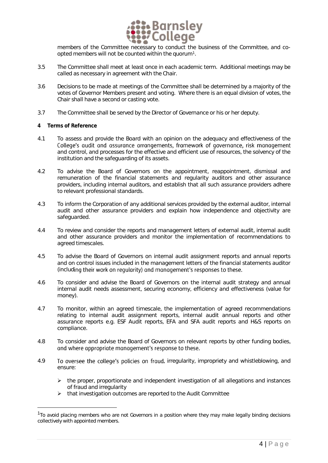

members of the Committee necessary to conduct the business of the Committee, and coopted members will not be counted within the quorum<sup>1</sup>.

- 3.5 The Committee shall meet at least once in each academic term. Additional meetings may be called as necessary in agreement with the Chair.
- 3.6 Decisions to be made at meetings of the Committee shall be determined by a majority of the votes of Governor Members present and voting. Where there is an equal division of votes, the Chair shall have a second or casting vote.
- 3.7 The Committee shall be served by the Director of Governance or his or her deputy.
- **4 Terms of Reference**

l

- 4.1 To assess and provide the Board with an opinion on the adequacy and effectiveness of the<br>College's qualit and assurance arrangements, framework of governance, risk management and control, and processes for the effective and efficient use of resources, the solvency of the institution and the safeguarding of its assets.
- 4.2 To advise the Board of Governors on the appointment, reappointment, dismissal and remuneration of the financial statements and regularity auditors and other assurance providers, including internal auditors, and establish that all such assurance providers adhere to relevant professional standards.
- 4.3 To inform the Corporation of any additional services provided by the external auditor, internal audit and other assurance providers and explain how independence and objectivity are safeguarded.
- 4.4 To review and consider the reports and management letters of external audit, internal audit and other assurance providers and monitor the implementation of recommendations to agreed timescales.
- 4.5 To advise the Board of Governors on internal audit assignment reports and annual reports and on control issues included in the management letters of the financial statements auditor (including their work on regularity) and management's responses to these.
- 4.6 To consider and advise the Board of Governors on the internal audit strategy and annual internal audit needs assessment, securing economy, efficiency and effectiveness (value for money).
- 4.7 To monitor, within an agreed timescale, the implementation of agreed recommendations relating to internal audit assignment reports, internal audit annual reports and other assurance reports e.g. ESF Audit reports, EFA and SFA audit reports and H&S reports on compliance.
- 4.8 To consider and advise the Board of Governors on relevant reports by other funding bodies, and where appropriate management's response to these.
- 4.9 To oversee the college's policies on fraud, irregularity, impropriety and whistleblowing, and ensure:
	- the proper, proportionate and independent investigation of all allegations and instances of fraud and irregularity
	- that investigation outcomes are reported to the Audit Committee

<sup>1</sup> *To avoid placing members who are not Governors in a position where they may make legally binding decisions collectively with appointed members*.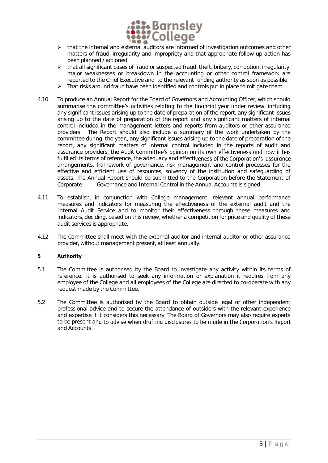

- $\triangleright$  that the internal and external auditors are informed of investigation outcomes and other matters of fraud, irregularity and impropriety and that appropriate follow up action has been planned / actioned
- $\triangleright$  that all significant cases of fraud or suspected fraud, theft, bribery, corruption, irregularity, major weaknesses or breakdown in the accounting or other control framework are reported to the Chief Executive and to the relevant funding authority as soon as possible
- $\triangleright$  That risks around fraud have been identified and controls put in place to mitigate them.
- 4.10 To produce an Annual Report for the Board of Governors and Accounting Officer, which should summarise the committee's activities relating to the financial year under review, including any significant issues arising up to the date of preparation of the report, any significant issues arising up to the date of preparation of the report and any significant matters of internal control included in the management letters and reports from auditors or other assurance providers. The Report should also include a summary of the work undertaken by the committee during the year,, any significant issues arising up to the date of preparation of the report, any significant matters of internal control included in the reports of audit and assurance providers, the Audit Committee's opinion on its own effectiveness and how it has fulfilled its terms of reference, the adequacy and effectiveness of the Corporation's assurance arrangements, framework of governance, risk management and control processes for the effective and efficient use of resources, solvency of the institution and safeguarding of assets. The Annual Report should be submitted to the Corporation before the Statement of Corporate Governance and Internal Control in the Annual Accounts is signed.
- 4.11 To establish, in conjunction with College management, relevant annual performance measures and indicators for measuring the effectiveness of the external audit and the Internal Audit Service and to monitor their effectiveness through these measures and indicators, deciding, based on this review, whether a competition for price and quality of these audit services is appropriate.
- 4.12 The Committee shall meet with the external auditor and internal auditor or other assurance provider, without management present, at least annually.
- **5 Authority**
- 5.1 The Committee is authorised by the Board to investigate any activity within its terms of reference. It is authorised to seek any information or explanation it requires from any employee of the College and all employees of the College are directed to co-operate with any request made by the Committee.
- 5.2 The Committee is authorised by the Board to obtain outside legal or other independent professional advice and to secure the attendance of outsiders with the relevant experience and expertise if it considers this necessary. The Board of Governors may also require experts to be present and to advise when drafting disclosures to be made in the Corporation's Report and Accounts.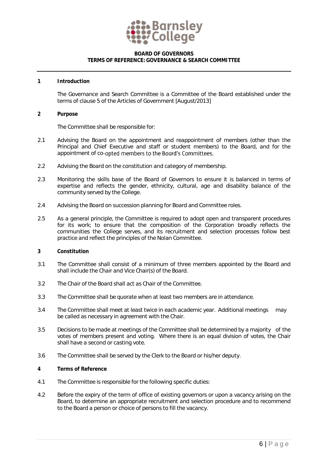

#### **BOARD OF GOVERNORS TERMS OF REFERENCE: GOVERNANCE & SEARCH COMMITTEE**

#### **1 Introduction**

The Governance and Search Committee is a Committee of the Board established under the terms of clause 5 of the Articles of Government [August/2013]

**2 Purpose**

The Committee shall be responsible for:

- 2.1 Advising the Board on the appointment and reappointment of members (other than the Principal and Chief Executive and staff or student members) to the Board, and for the appointment of co-opted members to the Board's Committees.
- 2.2 Advising the Board on the constitution and category of membership.
- 2.3 Monitoring the skills base of the Board of Governors to ensure it is balanced in terms of expertise and reflects the gender, ethnicity, cultural, age and disability balance of the community served by the College.
- 2.4 Advising the Board on succession planning for Board and Committee roles.
- 2.5 As a general principle, the Committee is required to adopt open and transparent procedures for its work; to ensure that the composition of the Corporation broadly reflects the communities the College serves, and its recruitment and selection processes follow best practice and reflect the principles of the Nolan Committee.
- **3 Constitution**
- 3.1 The Committee shall consist of a minimum of three members appointed by the Board and shall include the Chair and Vice Chair(s) of the Board.
- 3.2 The Chair of the Board shall act as Chair of the Committee.
- 3.3 The Committee shall be quorate when at least two members are in attendance.
- 3.4 The Committee shall meet at least twice in each academic year. Additional meetings may be called as necessary in agreement with the Chair.
- 3.5 Decisions to be made at meetings of the Committee shall be determined by a majority of the votes of members present and voting. Where there is an equal division of votes, the Chair shall have a second or casting vote.
- 3.6 The Committee shall be served by the Clerk to the Board or his/her deputy.
- **4 Terms of Reference**
- 4.1 The Committee is responsible for the following specific duties:
- 4.2 Before the expiry of the term of office of existing governors or upon a vacancy arising on the Board, to determine an appropriate recruitment and selection procedure and to recommend to the Board a person or choice of persons to fill the vacancy.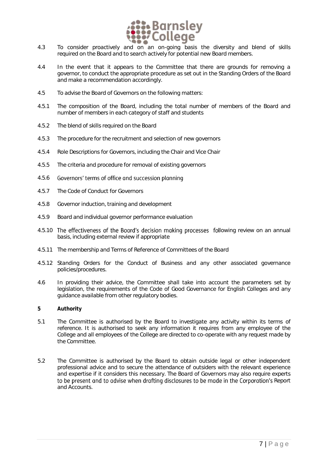

- required on the Board and to search actively for potential new Board members.
- 4.4 In the event that it appears to the Committee that there are grounds for removing a governor, to conduct the appropriate procedure as set out in the Standing Orders of the Board and make a recommendation accordingly.
- 4.5 To advise the Board of Governors on the following matters:
- 4.5.1 The composition of the Board, including the total number of members of the Board and number of members in each category of staff and students
- 4.5.2 The blend of skills required on the Board
- 4.5.3 The procedure for the recruitment and selection of new governors
- 4.5.4 Role Descriptions for Governors, including the Chair and Vice Chair
- 4.5.5 The criteria and procedure for removal of existing governors
- 4.5.6 Governors' terms of office and succession planning
- 4.5.7 The Code of Conduct for Governors
- 4.5.8 Governor induction, training and development
- 4.5.9 Board and individual governor performance evaluation
- 4.5.10 The effectiveness of the Board's decision making processes following review on an annual basis, including external review if appropriate
- 4.5.11 The membership and Terms of Reference of Committees of the Board
- 4.5.12 Standing Orders for the Conduct of Business and any other associated governance policies/procedures.
- 4.6 In providing their advice, the Committee shall take into account the parameters set by legislation, the requirements of the Code of Good Governance for English Colleges and any guidance available from other regulatory bodies.
- **5 Authority**
- 5.1 The Committee is authorised by the Board to investigate any activity within its terms of reference. It is authorised to seek any information it requires from any employee of the College and all employees of the College are directed to co-operate with any request made by the Committee.
- 5.2 The Committee is authorised by the Board to obtain outside legal or other independent professional advice and to secure the attendance of outsiders with the relevant experience and expertise if it considers this necessary. The Board of Governors may also require experts to be present and to advise when drafting disclosures to be made in the Corporation's Report and Accounts.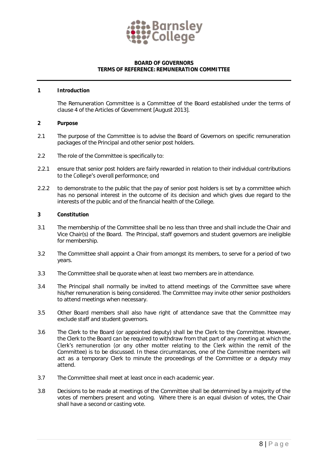

#### **BOARD OF GOVERNORS TERMS OF REFERENCE: REMUNERATION COMMITTEE**

#### **1 Introduction**

The Remuneration Committee is a Committee of the Board established under the terms of clause 4 of the Articles of Government [August 2013].

- **2 Purpose**
- 2.1 The purpose of the Committee is to advise the Board of Governors on specific remuneration packages of the Principal and other senior post holders.
- 2.2 The role of the Committee is specifically to:
- 2.2.1 ensure that senior post holders are fairly rewarded in relation to their individual contributions to the College's overall performance; and
- 2.2.2 to demonstrate to the public that the pay of senior post holders is set by a committee which has no personal interest in the outcome of its decision and which gives due regard to the interests of the public and of the financial health of the College.
- **3 Constitution**
- 3.1 The membership of the Committee shall be no less than three and shall include the Chair and Vice Chair(s) of the Board. The Principal, staff governors and student governors are ineligible for membership.
- 3.2 The Committee shall appoint a Chair from amongst its members, to serve for a period of two years.
- 3.3 The Committee shall be quorate when at least two members are in attendance.
- 3.4 The Principal shall normally be invited to attend meetings of the Committee save where his/her remuneration is being considered. The Committee may invite other senior postholders to attend meetings when necessary.
- 3.5 Other Board members shall also have right of attendance save that the Committee may exclude staff and student governors.
- 3.6 The Clerk to the Board (or appointed deputy) shall be the Clerk to the Committee. However, the Clerk to the Board can be required to withdraw from that part of any meeting at which the Clerk's remuneration (or any other matter relating to the Clerk within the remit of the Committee) is to be discussed. In these circumstances, one of the Committee members will act as a temporary Clerk to minute the proceedings of the Committee or a deputy may attend.
- 3.7 The Committee shall meet at least once in each academic year.
- 3.8 Decisions to be made at meetings of the Committee shall be determined by a majority of the votes of members present and voting. Where there is an equal division of votes, the Chair shall have a second or casting vote.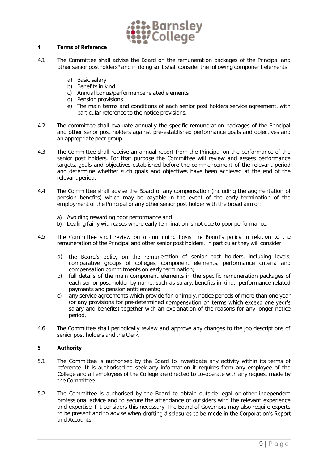

- **4 Terms of Reference**
- 4.1 The Committee shall advise the Board on the remuneration packages of the Principal and other senior postholders\* and in doing so it shall consider the following component elements:
	- a) Basic salary
	- b) Benefits in kind
	- c) Annual bonus/performance related elements
	- d) Pension provisions
	- e) The main terms and conditions of each senior post holders service agreement, with particular reference to the notice provisions.
- 4.2 The committee shall evaluate annually the specific remuneration packages of the Principal and other senor post holders against pre-established performance goals and objectives and an appropriate peer group.
- 4.3 The Committee shall receive an annual report from the Principal on the performance of the senior post holders. For that purpose the Committee will review and assess performance targets, goals and objectives established before the commencement of the relevant period and determine whether such goals and objectives have been achieved at the end of the relevant period.
- 4.4 The Committee shall advise the Board of any compensation (including the augmentation of pension benefits) which may be payable in the event of the early termination of the employment of the Principal or any other senior post holder with the broad aim of:
	- a) Avoiding rewarding poor performance and
	- b) Dealing fairly with cases where early termination is not due to poor performance.
- 4.5 The Committee shall review on a continuing basis the Board's policy in relation to the remuneration of the Principal and other senior post holders. In particular they will consider:
	- a) the Board's policy on the remuneration of senior post holders, including levels, comparative groups of colleges, component elements, performance criteria and compensation commitments on early termination;
	- b) full details of the main component elements in the specific remuneration packages of each senior post holder by name, such as salary, benefits in kind, performance related payments and pension entitlements;
	- c) any service agreements which provide for, or imply, notice periods of more than one year (or any provisions for pre-determined compensation on terms which exceed one year's salary and benefits) together with an explanation of the reasons for any longer notice period.
- 4.6 The Committee shall periodically review and approve any changes to the job descriptions of senior post holders and the Clerk.
- **5 Authority**
- 5.1 The Committee is authorised by the Board to investigate any activity within its terms of reference. It is authorised to seek any information it requires from any employee of the College and all employees of the College are directed to co-operate with any request made by the Committee.
- 5.2 The Committee is authorised by the Board to obtain outside legal or other independent professional advice and to secure the attendance of outsiders with the relevant experience and expertise if it considers this necessary. The Board of Governors may also require experts to be present and to advise when drafting disclosures to be made in the Corporation's Report and Accounts.